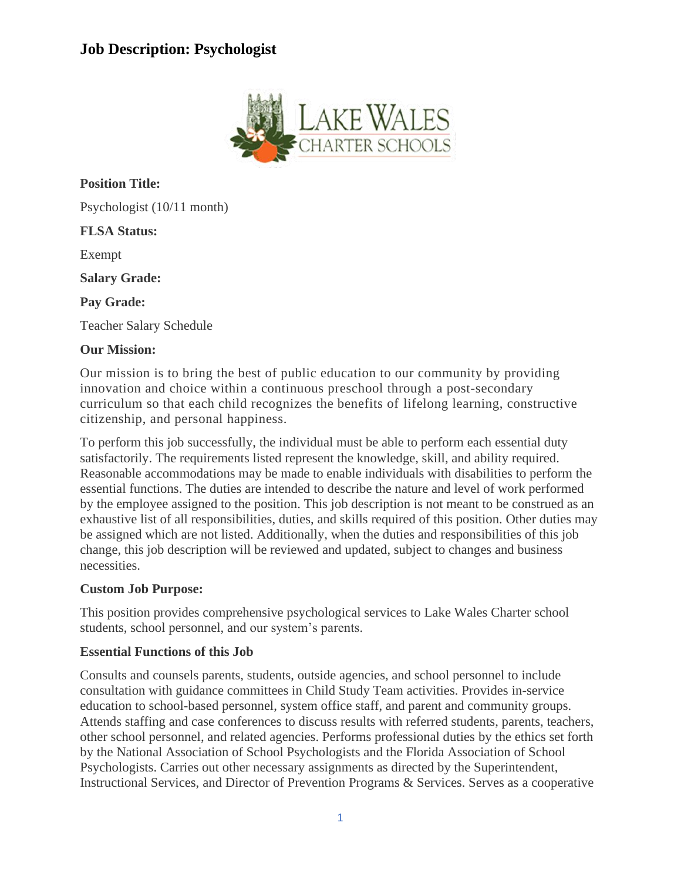# **Job Description: Psychologist**



**Position Title:**

Psychologist (10/11 month)

### **FLSA Status:**

Exempt

**Salary Grade:**

**Pay Grade:**

Teacher Salary Schedule

### **Our Mission:**

Our mission is to bring the best of public education to our community by providing innovation and choice within a continuous preschool through a post-secondary curriculum so that each child recognizes the benefits of lifelong learning, constructive citizenship, and personal happiness.

To perform this job successfully, the individual must be able to perform each essential duty satisfactorily. The requirements listed represent the knowledge, skill, and ability required. Reasonable accommodations may be made to enable individuals with disabilities to perform the essential functions. The duties are intended to describe the nature and level of work performed by the employee assigned to the position. This job description is not meant to be construed as an exhaustive list of all responsibilities, duties, and skills required of this position. Other duties may be assigned which are not listed. Additionally, when the duties and responsibilities of this job change, this job description will be reviewed and updated, subject to changes and business necessities.

### **Custom Job Purpose:**

This position provides comprehensive psychological services to Lake Wales Charter school students, school personnel, and our system's parents.

### **Essential Functions of this Job**

Consults and counsels parents, students, outside agencies, and school personnel to include consultation with guidance committees in Child Study Team activities. Provides in-service education to school-based personnel, system office staff, and parent and community groups. Attends staffing and case conferences to discuss results with referred students, parents, teachers, other school personnel, and related agencies. Performs professional duties by the ethics set forth by the National Association of School Psychologists and the Florida Association of School Psychologists. Carries out other necessary assignments as directed by the Superintendent, Instructional Services, and Director of Prevention Programs & Services. Serves as a cooperative